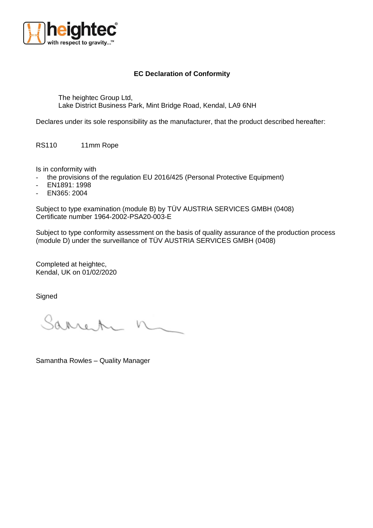

## **EC Declaration of Conformity**

The heightec Group Ltd, Lake District Business Park, Mint Bridge Road, Kendal, LA9 6NH

Declares under its sole responsibility as the manufacturer, that the product described hereafter:

RS110 11mm Rope

Is in conformity with

- the provisions of the regulation EU 2016/425 (Personal Protective Equipment)
- EN1891: 1998
- EN365: 2004

Subject to type examination (module B) by TÜV AUSTRIA SERVICES GMBH (0408) Certificate number 1964-2002-PSA20-003-E

Subject to type conformity assessment on the basis of quality assurance of the production process (module D) under the surveillance of TÜV AUSTRIA SERVICES GMBH (0408)

Completed at heightec, Kendal, UK on 01/02/2020

**Signed** 

Sarren

Samantha Rowles – Quality Manager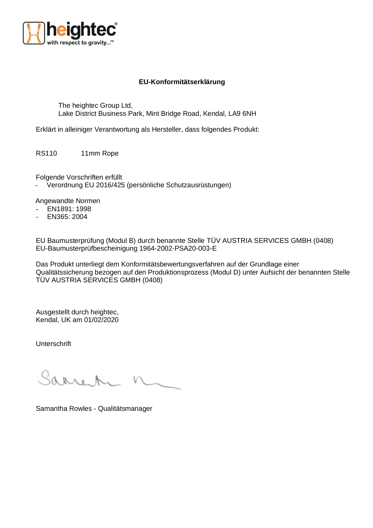

## **EU-Konformitätserklärung**

The heightec Group Ltd, Lake District Business Park, Mint Bridge Road, Kendal, LA9 6NH

Erklärt in alleiniger Verantwortung als Hersteller, dass folgendes Produkt:

RS110 11mm Rope

Folgende Vorschriften erfüllt

- Verordnung EU 2016/425 (persönliche Schutzausrüstungen)

Angewandte Normen

- EN1891: 1998
- EN365: 2004

EU Baumusterprüfung (Modul B) durch benannte Stelle TÜV AUSTRIA SERVICES GMBH (0408) EU-Baumusterprüfbescheinigung 1964-2002-PSA20-003-E

Das Produkt unterliegt dem Konformitätsbewertungsverfahren auf der Grundlage einer Qualitätssicherung bezogen auf den Produktionsprozess (Modul D) unter Aufsicht der benannten Stelle TÜV AUSTRIA SERVICES GMBH (0408)

Ausgestellt durch heightec, Kendal, UK am 01/02/2020

Unterschrift

Saano A

Samantha Rowles - Qualitätsmanager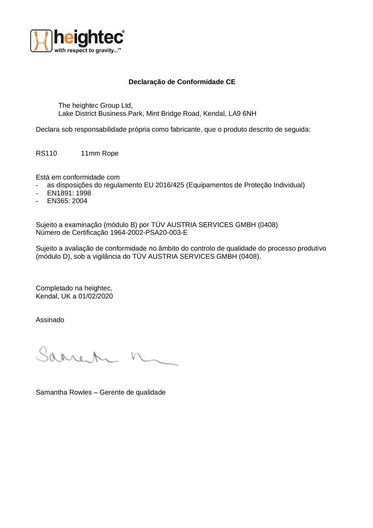

## **Declaração de Conformidade CE**

The heightec Group Ltd, Lake District Business Park, Mint Bridge Road, Kendal, LA9 6NH

Declara sob responsabilidade própria como fabricante, que o produto descrito de seguida:

RS110 11mm Rope

Está em conformidade com

- as disposições do regulamento EU 2016/425 (Equipamentos de Proteção Individual)
- EN1891: 1998
- EN365: 2004

Sujeito a examinação (módulo B) por TÜV AUSTRIA SERVICES GMBH (0408) Número de Certificação 1964-2002-PSA20-003-E

Sujeito a avaliação de conformidade no âmbito do controlo de qualidade do processo produtivo (módulo D), sob a vigilância do TÜV AUSTRIA SERVICES GMBH (0408).

Completado na heightec, Kendal, UK a 01/02/2020

Assinado

Sarre A

Samantha Rowles – Gerente de qualidade